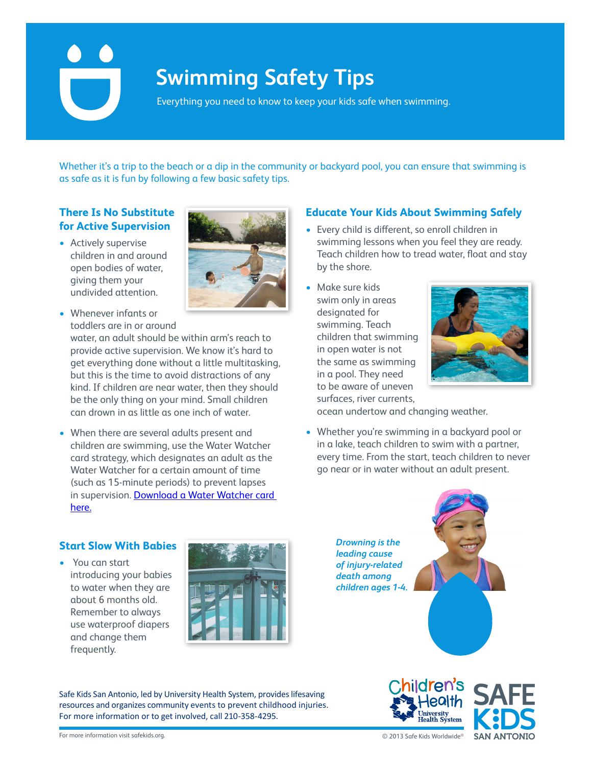# **Swimming Safety Tips**

Everything you need to know to keep your kids safe when swimming.

Whether it's a trip to the beach or a dip in the community or backyard pool, you can ensure that swimming is as safe as it is fun by following a few basic safety tips.

# **There Is No Substitute for Active Supervision**

• Actively supervise children in and around open bodies of water, giving them your undivided attention.



todaters are in or dround<br>water, an adult should be within arm's reach to provide active supervision. We know it's hard to get everything done without a little multitasking, but this is the time to avoid distractions of any kind. If children are near water, then they should be the only thing on your mind. Small children can drown in as little as one inch of water.

• When there are several adults present and children are swimming, use the Water Watcher card strategy, which designates an adult as the Water Watcher for a certain amount of time (such as 15-minute periods) to prevent lapses in supervision. Download a Water Watcher card here. device (PFD). Here, some more information on the more information on  $\mathcal P$ 



# **Educate Your Kids About Swimming Safely**

- **•** Every child is different, so enroll children in swimming lessons when you feel they are ready. Teach children how to tread water, float and stay by the shore.
- swim only in areas **Children Children Children Children Children Children Children** swimming. Teach  $\blacksquare$ children that swimming  $\blacksquare$ in open water is not  $f(x) = \frac{1}{\sqrt{2\pi}} \int_{0}^{\infty} \sqrt{1-x^2} dx$ to be aware of uneven surfaces, river currents,



ocean undertow and changing weather.

• Whether you're swimming in a backyard pool or in a lake, teach children to swim with a partner, every time. From the start, teach children to never every and commences without an adult present.

*Drowning is the leading cause of injury-related death among* 



# **Start Slow With Babies**

• You can start  $\overline{\phantom{a} \phantom{a}}$ introducing your babies to water when they are about 6 months old. Remember to always use waterproof diapers **the same water** and change them  $\mathbb{R}$ frequently. your baby warm. If your children seem cold or are



For more information or to get involved, call 210-358-4295. Safe Kids San Antonio, led by University Health System, provides lifesaving resources and organizes community events to prevent childhood injuries.